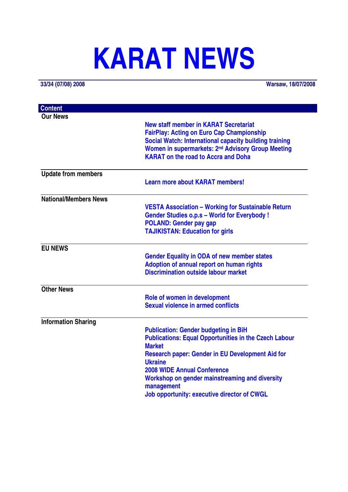# **KARAT NEWS**

**33/34 (07/08) 2008 Warsaw, 18/07/2008**

| <b>Content</b>               |                                                                               |
|------------------------------|-------------------------------------------------------------------------------|
| <b>Our News</b>              |                                                                               |
|                              | <b>New staff member in KARAT Secretariat</b>                                  |
|                              | <b>FairPlay: Acting on Euro Cap Championship</b>                              |
|                              | <b>Social Watch: International capacity building training</b>                 |
|                              | Women in supermarkets: 2 <sup>nd</sup> Advisory Group Meeting                 |
|                              | <b>KARAT on the road to Accra and Doha</b>                                    |
| <b>Update from members</b>   |                                                                               |
|                              | <b>Learn more about KARAT members!</b>                                        |
| <b>National/Members News</b> |                                                                               |
|                              | <b>VESTA Association - Working for Sustainable Return</b>                     |
|                              | <b>Gender Studies o.p.s - World for Everybody!</b>                            |
|                              | <b>POLAND: Gender pay gap</b>                                                 |
|                              | <b>TAJIKISTAN: Education for girls</b>                                        |
| <b>EU NEWS</b>               |                                                                               |
|                              | <b>Gender Equality in ODA of new member states</b>                            |
|                              | Adoption of annual report on human rights                                     |
|                              | <b>Discrimination outside labour market</b>                                   |
| <b>Other News</b>            |                                                                               |
|                              | Role of women in development                                                  |
|                              | Sexual violence in armed conflicts                                            |
| <b>Information Sharing</b>   |                                                                               |
|                              | <b>Publication: Gender budgeting in BiH</b>                                   |
|                              | <b>Publications: Equal Opportunities in the Czech Labour</b><br><b>Market</b> |
|                              | <b>Research paper: Gender in EU Development Aid for</b><br><b>Ukraine</b>     |
|                              | <b>2008 WIDE Annual Conference</b>                                            |
|                              | Workshop on gender mainstreaming and diversity                                |
|                              | management                                                                    |
|                              | <b>Job opportunity: executive director of CWGL</b>                            |
|                              |                                                                               |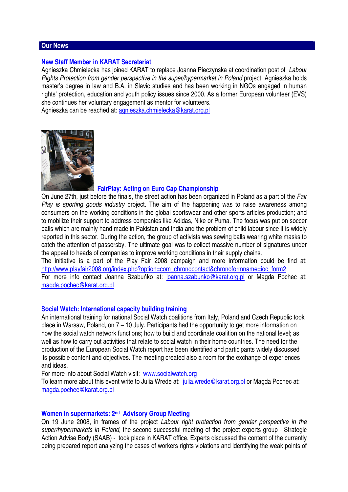# **Our News**

# **New Staff Member in KARAT Secretariat**

Agnieszka Chmielecka has joined KARAT to replace Joanna Pieczynska at coordination post of Labour Rights Protection from gender perspective in the super/hypermarket in Poland project. Agnieszka holds master's degree in law and B.A. in Slavic studies and has been working in NGOs engaged in human rights' protection, education and youth policy issues since 2000. As a former European volunteer (EVS) she continues her voluntary engagement as mentor for volunteers.

Agnieszka can be reached at: agnieszka.chmielecka@karat.org.pl



# **FairPlay: Acting on Euro Cap Championship**

On June 27th, just before the finals, the street action has been organized in Poland as a part of the Fair Play is sporting goods industry project. The aim of the happening was to raise awareness among consumers on the working conditions in the global sportswear and other sports articles production; and to mobilize their support to address companies like Adidas, Nike or Puma. The focus was put on soccer balls which are mainly hand made in Pakistan and India and the problem of child labour since it is widely reported in this sector. During the action, the group of activists was sewing balls wearing white masks to catch the attention of passersby. The ultimate goal was to collect massive number of signatures under the appeal to heads of companies to improve working conditions in their supply chains.

The initiative is a part of the Play Fair 2008 campaign and more information could be find at: http://www.playfair2008.org/index.php?option=com\_chronocontact&chronoformname=ioc\_form2 For more info contact Joanna Szabuńko at: joanna.szabunko@karat.org.pl or Magda Pochec at:

magda.pochec@karat.org.pl

# **Social Watch: International capacity building training**

An international training for national Social Watch coalitions from Italy, Poland and Czech Republic took place in Warsaw, Poland, on 7 – 10 July. Participants had the opportunity to get more information on how the social watch network functions; how to build and coordinate coalition on the national level; as well as how to carry out activities that relate to social watch in their home countries. The need for the production of the European Social Watch report has been identified and participants widely discussed its possible content and objectives. The meeting created also a room for the exchange of experiences and ideas.

For more info about Social Watch visit: www.socialwatch.org

To learn more about this event write to Julia Wrede at: julia.wrede@karat.org.pl or Magda Pochec at: magda.pochec@karat.org.pl

# **Women in supermarkets: 2nd Advisory Group Meeting**

On 19 June 2008, in frames of the project Labour right protection from gender perspective in the super/hypermarkets in Poland, the second successful meeting of the project experts group - Strategic Action Advise Body (SAAB) - took place in KARAT office. Experts discussed the content of the currently being prepared report analyzing the cases of workers rights violations and identifying the weak points of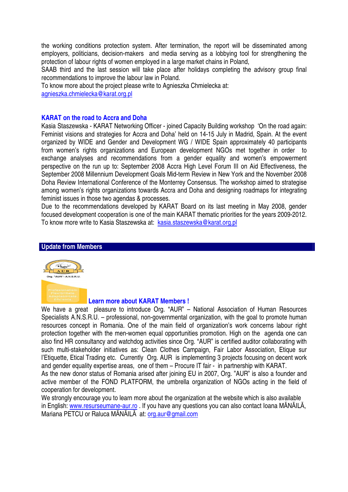the working conditions protection system. After termination, the report will be disseminated among employers, politicians, decision-makers and media serving as a lobbying tool for strengthening the protection of labour rights of women employed in a large market chains in Poland,

SAAB third and the last session will take place after holidays completing the advisory group final recommendations to improve the labour law in Poland.

To know more about the project please write to Agnieszka Chmielecka at:

agnieszka.chmielecka@karat.org.pl

# **KARAT on the road to Accra and Doha**

Kasia Staszewska - KARAT Networking Officer - joined Capacity Building workshop 'On the road again: Feminist visions and strategies for Accra and Doha' held on 14-15 July in Madrid, Spain. At the event organized by WIDE and Gender and Development WG / WIDE Spain approximately 40 participants from women's rights organizations and European development NGOs met together in order to exchange analyses and recommendations from a gender equality and women's empowerment perspective on the run up to: September 2008 Accra High Level Forum III on Aid Effectiveness, the September 2008 Millennium Development Goals Mid-term Review in New York and the November 2008 Doha Review International Conference of the Monterrey Consensus. The workshop aimed to strategise among women's rights organizations towards Accra and Doha and designing roadmaps for integrating feminist issues in those two agendas & processes.

Due to the recommendations developed by KARAT Board on its last meeting in May 2008, gender focused development cooperation is one of the main KARAT thematic priorities for the years 2009-2012. To know more write to Kasia Staszewska at: kasia.staszewska@karat.org.pl

# **Update from Members**





We have a great pleasure to introduce Org. "AUR" – National Association of Human Resources Specialists A.N.S.R.U. – professional, non-governmental organization, with the goal to promote human resources concept in Romania. One of the main field of organization's work concerns labour right protection together with the men-women equal opportunities promotion. High on the agenda one can also find HR consultancy and watchdog activities since Org. "AUR" is certified auditor collaborating with such multi-stakeholder initiatives as: Clean Clothes Campaign, Fair Labor Association, Etique sur l'Etiquette, Etical Trading etc. Currently Org. AUR is implementing 3 projects focusing on decent work and gender equality expertise areas, one of them – Procure IT fair - in partnership with KARAT.

As the new donor status of Romania arised after joining EU in 2007, Org. "AUR" is also a founder and active member of the FOND PLATFORM, the umbrella organization of NGOs acting in the field of cooperation for development.

We strongly encourage you to learn more about the organization at the website which is also available in English: www.resurseumane-aur.ro . If you have any questions you can also contact Ioana MĂNĂILĂ, Mariana PETCU or Raluca MĂNĂILĂ at: org.aur@gmail.com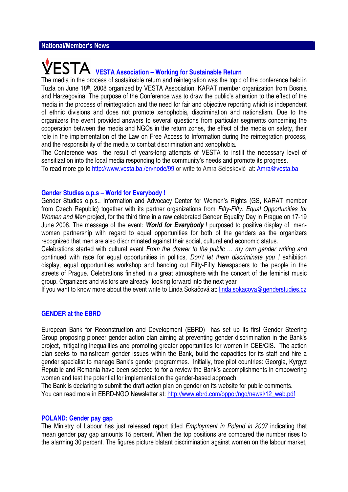# **VESTA Association – Working for Sustainable Return**

The media in the process of sustainable return and reintegration was the topic of the conference held in Tuzla on June 18th, 2008 organized by VESTA Association, KARAT member organization from Bosnia and Harzegovina. The purpose of the Conference was to draw the public's attention to the effect of the media in the process of reintegration and the need for fair and objective reporting which is independent of ethnic divisions and does not promote xenophobia, discrimination and nationalism. Due to the organizers the event provided answers to several questions from particular segments concerning the cooperation between the media and NGOs in the return zones, the effect of the media on safety, their role in the implementation of the Law on Free Access to Information during the reintegration process, and the responsibility of the media to combat discrimination and xenophobia.

The Conference was the result of years-long attempts of VESTA to instill the necessary level of sensitization into the local media responding to the community's needs and promote its progress.

To read more go to http://www.vesta.ba./en/node/99 or write to Amra Selesković at: Amra@vesta.ba

# **Gender Studies o.p.s – World for Everybody !**

Gender Studies o.p.s., Information and Advocacy Center for Women's Rights (GS, KARAT member from Czech Republic) together with its partner organizations from Fifty-Fifty: Equal Opportunities for Women and Men project, for the third time in a raw celebrated Gender Equality Day in Prague on 17-19 June 2008. The message of the event: **World for Everybody** ! purposed to positive display of menwomen partnership with regard to equal opportunities for both of the genders as the organizers recognized that men are also discriminated against their social, cultural end economic status.

Celebrations started with cultural event From the drawer to the public … my own gender writing and continued with race for equal opportunities in politics, Don't let them discriminate you ! exhibition display, equal opportunities workshop and handing out Fifty-Fifty Newspapers to the people in the streets of Prague. Celebrations finished in a great atmosphere with the concert of the feminist music group. Organizers and visitors are already looking forward into the next year !

If you want to know more about the event write to Linda Sokačová at: linda.sokacova@genderstudies.cz

# **GENDER at the EBRD**

European Bank for Reconstruction and Development (EBRD) has set up its first Gender Steering Group proposing pioneer gender action plan aiming at preventing gender discrimination in the Bank's project, mitigating inequalities and promoting greater opportunities for women in CEE/CIS. The action plan seeks to mainstream gender issues within the Bank, build the capacities for its staff and hire a gender specialist to manage Bank's gender programmes. Initially, tree pilot countries: Georgia, Kyrgyz Republic and Romania have been selected to for a review the Bank's accomplishments in empowering women and test the potential for implementation the gender-based approach.

The Bank is declaring to submit the draft action plan on gender on its website for public comments. You can read more in EBRD-NGO Newsletter at: http://www.ebrd.com/oppor/ngo/newsl/12\_web.pdf

# **POLAND: Gender pay gap**

The Ministry of Labour has just released report titled Employment in Poland in 2007 indicating that mean gender pay gap amounts 15 percent. When the top positions are compared the number rises to the alarming 30 percent. The figures picture blatant discrimination against women on the labour market,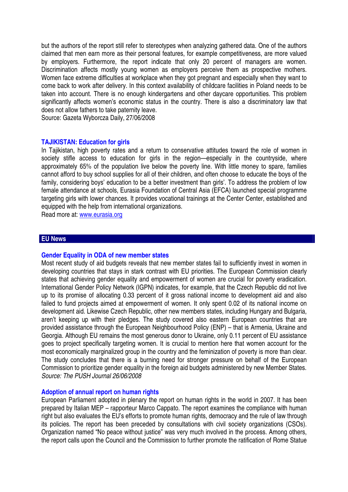but the authors of the report still refer to stereotypes when analyzing gathered data. One of the authors claimed that men earn more as their personal features, for example competitiveness, are more valued by employers. Furthermore, the report indicate that only 20 percent of managers are women. Discrimination affects mostly young women as employers perceive them as prospective mothers. Women face extreme difficulties at workplace when they got pregnant and especially when they want to come back to work after delivery. In this context availability of childcare facilities in Poland needs to be taken into account. There is no enough kindergartens and other daycare opportunities. This problem significantly affects women's economic status in the country. There is also a discriminatory law that does not allow fathers to take paternity leave.

Source: Gazeta Wyborcza Daily, 27/06/2008

#### **TAJIKISTAN: Education for girls**

In Tajikistan, high poverty rates and a return to conservative attitudes toward the role of women in society stifle access to education for girls in the region—especially in the countryside, where approximately 65% of the population live below the poverty line. With little money to spare, families cannot afford to buy school supplies for all of their children, and often choose to educate the boys of the family, considering boys' education to be a better investment than girls'. To address the problem of low female attendance at schools, Eurasia Foundation of Central Asia (EFCA) launched special programme targeting girls with lower chances. It provides vocational trainings at the Center Center, established and equipped with the help from international organizations.

Read more at: www.eurasia.org

#### **EU News**

#### **Gender Equality in ODA of new member states**

Most recent study of aid budgets reveals that new member states fail to sufficiently invest in women in developing countries that stays in stark contrast with EU priorities. The European Commission clearly states that achieving gender equality and empowerment of women are crucial for poverty eradication. International Gender Policy Network (IGPN) indicates, for example, that the Czech Republic did not live up to its promise of allocating 0.33 percent of it gross national income to development aid and also failed to fund projects aimed at empowerment of women. It only spent 0.02 of its national income on development aid. Likewise Czech Republic, other new members states, including Hungary and Bulgaria, aren't keeping up with their pledges. The study covered also eastern European countries that are provided assistance through the European Neighbourhood Policy (ENP) – that is Armenia, Ukraine and Georgia. Although EU remains the most generous donor to Ukraine, only 0.11 percent of EU assistance goes to project specifically targeting women. It is crucial to mention here that women account for the most economically marginalized group in the country and the feminization of poverty is more than clear. The study concludes that there is a burning need for stronger pressure on behalf of the European Commission to prioritize gender equality in the foreign aid budgets administered by new Member States. Source: The PUSH Journal 26/06/2008

#### **Adoption of annual report on human rights**

European Parliament adopted in plenary the report on human rights in the world in 2007. It has been prepared by Italian MEP – rapporteur Marco Cappato. The report examines the compliance with human right but also evaluates the EU's efforts to promote human rights, democracy and the rule of law through its policies. The report has been preceded by consultations with civil society organizations (CSOs). Organization named "No peace without justice" was very much involved in the process. Among others, the report calls upon the Council and the Commission to further promote the ratification of Rome Statue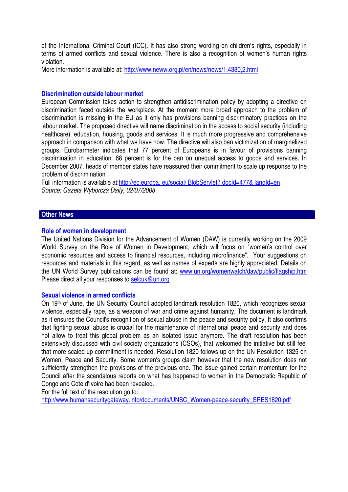of the International Criminal Court (ICC). It has also strong wording on children's rights, especially in terms of armed conflicts and sexual violence. There is also a recognition of women's human rights violation.

More information is available at: http://www.neww.org.pl/en/news/news/1,4380,2.html

# **Discrimination outside labour market**

European Commission takes action to strengthen antidiscrimination policy by adopting a directive on discrimination faced outside the workplace. At the moment more broad approach to the problem of discrimination is missing in the EU as it only has provisions banning discriminatory practices on the labour market. The proposed directive will name discrimination in the access to social security (including healthcare), education, housing, goods and services. It is much more progressive and comprehensive approach in comparison with what we have now. The directive will also ban victimization of marginalized groups. Eurobarmeter indicates that 77 percent of Europeans is in favour of provisions banning discrimination in education. 68 percent is for the ban on unequal access to goods and services. In December 2007, heads of member states have reassured their commitment to scale up response to the problem of discrimination.

Full information is available at:http://ec.europa. eu/social/ BlobServlet? docId=477& langId=en Source: Gazeta Wyborcza Daily, 02/07/2008

# **Other News**

#### **Role of women in development**

The United Nations Division for the Advancement of Women (DAW) is currently working on the 2009 World Survey on the Role of Women in Development, which will focus on "women's control over economic resources and access to financial resources, including microfinance". Your suggestions on resources and materials in this regard, as well as names of experts are highly appreciated. Details on the UN World Survey publications can be found at: www.un.org/womenwatch/daw/public/flagship.htm Please direct all your responses to selcuk@un.org

# **Sexual violence in armed conflicts**

On 19th of June, the UN Security Council adopted landmark resolution 1820, which recognizes sexual violence, especially rape, as a weapon of war and crime against humanity. The document is landmark as it ensures the Council's recognition of sexual abuse in the peace and security policy. It also confirms that fighting sexual abuse is crucial for the maintenance of international peace and security and does not allow to treat this global problem as an isolated issue anymore. The draft resolution has been extensively discussed with civil society organizations (CSOs), that welcomed the initiative but still feel that more scaled up commitment is needed. Resolution 1820 follows up on the UN Resolution 1325 on Women, Peace and Security. Some women's groups claim however that the new resolution does not sufficiently strengthen the provisions of the previous one. The issue gained certain momentum for the Council after the scandalous reports on what has happened to women in the Democratic Republic of Congo and Cote d'Ivoire had been revealed.

For the full text of the resolution go to:

http://www.humansecuritygateway.info/documents/UNSC\_Women-peace-security\_SRES1820.pdf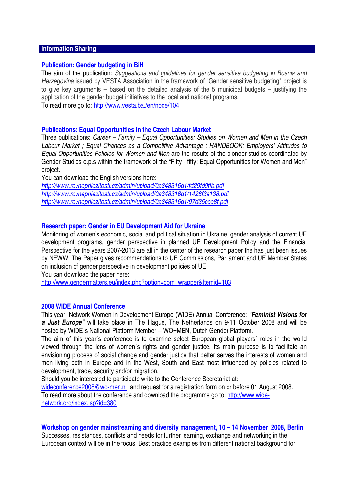# **Information Sharing**

#### **Publication: Gender budgeting in BiH**

The aim of the publication: Suggestions and guidelines for gender sensitive budgeting in Bosnia and Herzegovina issued by VESTA Association in the framework of "Gender sensitive budgeting" project is to give key arguments – based on the detailed analysis of the 5 municipal budgets – justifying the application of the gender budget initiatives to the local and national programs.

To read more go to: http://www.vesta.ba./en/node/104

# **Publications: Equal Opportunities in the Czech Labour Market**

Three publications: Career – Family – Equal Opportunities: Studies on Women and Men in the Czech Labour Market ; Equal Chances as a Competitive Advantage ; HANDBOOK: Employers' Attitudes to Equal Opportunities Policies for Women and Men are the results of the pioneer studies coordinated by Gender Studies o.p.s within the framework of the "Fifty - fifty: Equal Opportunities for Women and Men" project.

You can download the English versions here:

http://www.rovneprilezitosti.cz/admin/upload/0a348316d1/fd29fd9ffb.pdf http://www.rovneprilezitosti.cz/admin/upload/0a348316d1/1428f3e138.pdf http://www.rovneprilezitosti.cz/admin/upload/0a348316d1/97d35cce8f.pdf

# **Research paper: Gender in EU Development Aid for Ukraine**

Monitoring of women's economic, social and political situation in Ukraine, gender analysis of current UE development programs, gender perspective in planned UE Development Policy and the Financial Perspective for the years 2007-2013 are all in the center of the research paper the has just been issues by NEWW. The Paper gives recommendations to UE Commissions, Parliament and UE Member States on inclusion of gender perspective in development policies of UE.

You can download the paper here:

http://www.gendermatters.eu/index.php?option=com\_wrapper&Itemid=103

#### **2008 WIDE Annual Conference**

This year Network Women in Development Europe (WIDE) Annual Conference: **"Feminist Visions for a Just Europe"** will take place in The Hague, The Netherlands on 9-11 October 2008 and will be hosted by WIDE´s National Platform Member -- WO=MEN, Dutch Gender Platform.

The aim of this year´s conference is to examine select European global players´ roles in the world viewed through the lens of women´s rights and gender justice. Its main purpose is to facilitate an envisioning process of social change and gender justice that better serves the interests of women and men living both in Europe and in the West, South and East most influenced by policies related to development, trade, security and/or migration.

Should you be interested to participate write to the Conference Secretariat at:

wideconference2008@wo-men.nl and request for a registration form on or before 01 August 2008. To read more about the conference and download the programme go to: http://www.widenetwork.org/index.jsp?id=380

# **Workshop on gender mainstreaming and diversity management, 10 – 14 November 2008, Berlin**

Successes, resistances, conflicts and needs for further learning, exchange and networking in the European context will be in the focus. Best practice examples from different national background for